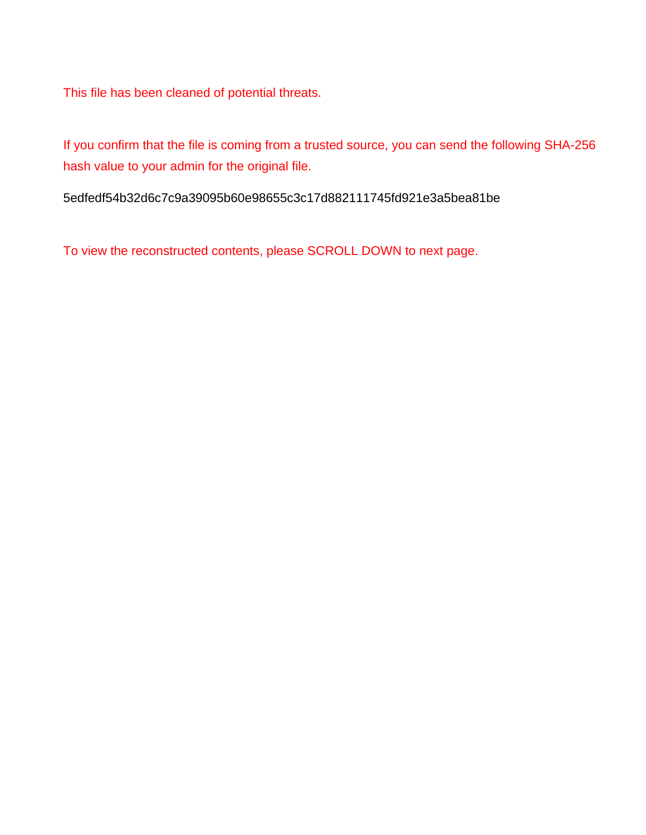This file has been cleaned of potential threats.

If you confirm that the file is coming from a trusted source, you can send the following SHA-256 hash value to your admin for the original file.

5edfedf54b32d6c7c9a39095b60e98655c3c17d882111745fd921e3a5bea81be

To view the reconstructed contents, please SCROLL DOWN to next page.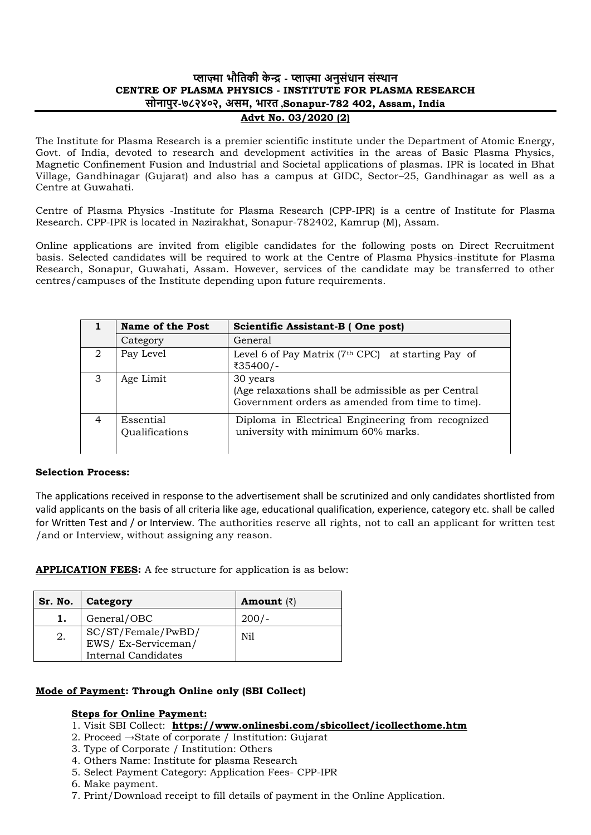# **प्लाज़्मा भौतिकी के न्द्र - प्लाज़्मा अनुसंधान संस्थान CENTRE OF PLASMA PHYSICS - INSTITUTE FOR PLASMA RESEARCH सोनापुर-७८२४०२, असम, भारि ,Sonapur-782 402, Assam, India Advt No. 03/2020 (2)**

The Institute for Plasma Research is a premier scientific institute under the Department of Atomic Energy, Govt. of India, devoted to research and development activities in the areas of Basic Plasma Physics, Magnetic Confinement Fusion and Industrial and Societal applications of plasmas. IPR is located in Bhat Village, Gandhinagar (Gujarat) and also has a campus at GIDC, Sector–25, Gandhinagar as well as a Centre at Guwahati.

Centre of Plasma Physics -Institute for Plasma Research (CPP-IPR) is a centre of Institute for Plasma Research. CPP-IPR is located in Nazirakhat, Sonapur-782402, Kamrup (M), Assam.

Online applications are invited from eligible candidates for the following posts on Direct Recruitment basis. Selected candidates will be required to work at the Centre of Plasma Physics-institute for Plasma Research, Sonapur, Guwahati, Assam. However, services of the candidate may be transferred to other centres/campuses of the Institute depending upon future requirements.

|                | <b>Name of the Post</b>     | Scientific Assistant-B (One post)                                                                                   |
|----------------|-----------------------------|---------------------------------------------------------------------------------------------------------------------|
|                | Category                    | General                                                                                                             |
| 2              | Pay Level                   | Level 6 of Pay Matrix ( $7th$ CPC) at starting Pay of<br>₹35400/-                                                   |
| 3              | Age Limit                   | 30 years<br>(Age relaxations shall be admissible as per Central<br>Government orders as amended from time to time). |
| $\overline{4}$ | Essential<br>Qualifications | Diploma in Electrical Engineering from recognized<br>university with minimum 60% marks.                             |

#### **Selection Process:**

The applications received in response to the advertisement shall be scrutinized and only candidates shortlisted from valid applicants on the basis of all criteria like age, educational qualification, experience, category etc. shall be called for Written Test and / or Interview. The authorities reserve all rights, not to call an applicant for written test /and or Interview, without assigning any reason.

**APPLICATION FEES:** A fee structure for application is as below:

| Sr. No. | Category                                                               | <b>Amount</b> $(\bar{z})$ |
|---------|------------------------------------------------------------------------|---------------------------|
| 1.      | General/OBC                                                            |                           |
| 2.      | SC/ST/Female/PwBD/<br>EWS/Ex-Serviceman/<br><b>Internal Candidates</b> | Nil                       |

## **Mode of Payment: Through Online only (SBI Collect)**

## **Steps for Online Payment:**

## 1. Visit SBI Collect: **https://www.onlinesbi.com/sbicollect/icollecthome.htm**

- 2. Proceed →State of corporate / Institution: Gujarat
- 3. Type of Corporate / Institution: Others
- 4. Others Name: Institute for plasma Research
- 5. Select Payment Category: Application Fees- CPP-IPR
- 6. Make payment.
- 7. Print/Download receipt to fill details of payment in the Online Application.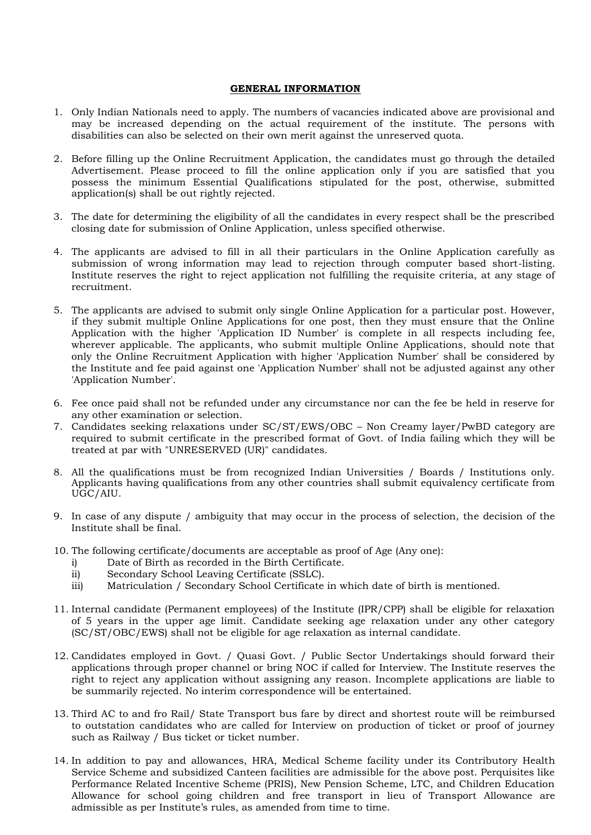#### **GENERAL INFORMATION**

- 1. Only Indian Nationals need to apply. The numbers of vacancies indicated above are provisional and may be increased depending on the actual requirement of the institute. The persons with disabilities can also be selected on their own merit against the unreserved quota.
- 2. Before filling up the Online Recruitment Application, the candidates must go through the detailed Advertisement. Please proceed to fill the online application only if you are satisfied that you possess the minimum Essential Qualifications stipulated for the post, otherwise, submitted application(s) shall be out rightly rejected.
- 3. The date for determining the eligibility of all the candidates in every respect shall be the prescribed closing date for submission of Online Application, unless specified otherwise.
- 4. The applicants are advised to fill in all their particulars in the Online Application carefully as submission of wrong information may lead to rejection through computer based short-listing. Institute reserves the right to reject application not fulfilling the requisite criteria, at any stage of recruitment.
- 5. The applicants are advised to submit only single Online Application for a particular post. However, if they submit multiple Online Applications for one post, then they must ensure that the Online Application with the higher 'Application ID Number' is complete in all respects including fee, wherever applicable. The applicants, who submit multiple Online Applications, should note that only the Online Recruitment Application with higher 'Application Number' shall be considered by the Institute and fee paid against one 'Application Number' shall not be adjusted against any other 'Application Number'.
- 6. Fee once paid shall not be refunded under any circumstance nor can the fee be held in reserve for any other examination or selection.
- 7. Candidates seeking relaxations under SC/ST/EWS/OBC Non Creamy layer/PwBD category are required to submit certificate in the prescribed format of Govt. of India failing which they will be treated at par with "UNRESERVED (UR)" candidates.
- 8. All the qualifications must be from recognized Indian Universities / Boards / Institutions only. Applicants having qualifications from any other countries shall submit equivalency certificate from UGC/AIU.
- 9. In case of any dispute / ambiguity that may occur in the process of selection, the decision of the Institute shall be final.
- 10. The following certificate/documents are acceptable as proof of Age (Any one):
	- i) Date of Birth as recorded in the Birth Certificate.
	- ii) Secondary School Leaving Certificate (SSLC).
	- iii) Matriculation / Secondary School Certificate in which date of birth is mentioned.
- 11. Internal candidate (Permanent employees) of the Institute (IPR/CPP) shall be eligible for relaxation of 5 years in the upper age limit. Candidate seeking age relaxation under any other category (SC/ST/OBC/EWS) shall not be eligible for age relaxation as internal candidate.
- 12. Candidates employed in Govt. / Quasi Govt. / Public Sector Undertakings should forward their applications through proper channel or bring NOC if called for Interview. The Institute reserves the right to reject any application without assigning any reason. Incomplete applications are liable to be summarily rejected. No interim correspondence will be entertained.
- 13. Third AC to and fro Rail/ State Transport bus fare by direct and shortest route will be reimbursed to outstation candidates who are called for Interview on production of ticket or proof of journey such as Railway / Bus ticket or ticket number.
- 14. In addition to pay and allowances, HRA, Medical Scheme facility under its Contributory Health Service Scheme and subsidized Canteen facilities are admissible for the above post. Perquisites like Performance Related Incentive Scheme (PRIS), New Pension Scheme, LTC, and Children Education Allowance for school going children and free transport in lieu of Transport Allowance are admissible as per Institute's rules, as amended from time to time.